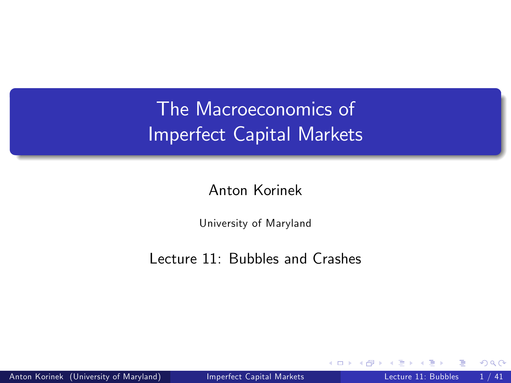# The Macroeconomics of Imperfect Capital Markets

Anton Korinek

<span id="page-0-0"></span>University of Maryland

Lecture 11: Bubbles and Crashes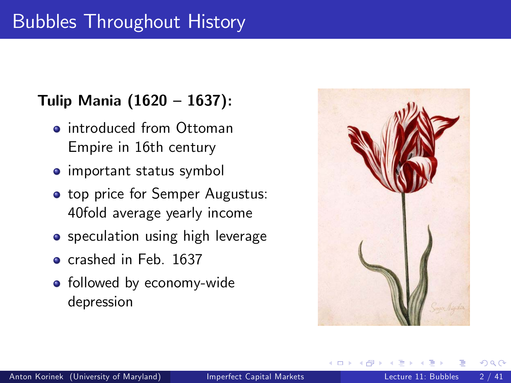# Bubbles Throughout History

### Tulip Mania  $(1620 - 1637)$ :

- **o** introduced from Ottoman Empire in 16th century
- important status symbol
- **top price for Semper Augustus:** 40fold average yearly income
- **•** speculation using high leverage
- **o** crashed in Feb. 1637
- followed by economy-wide depression

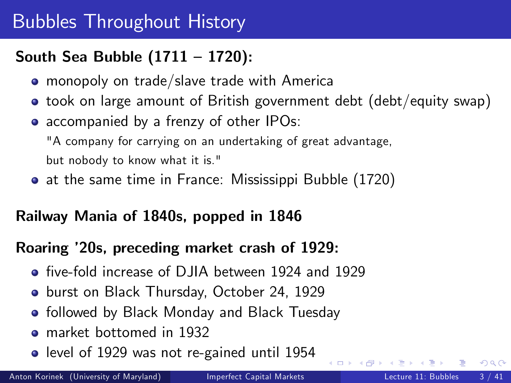# Bubbles Throughout History

## South Sea Bubble  $(1711 - 1720)$ :

- **•** monopoly on trade/slave trade with America
- took on large amount of British government debt (debt/equity swap)
- accompanied by a frenzy of other IPOs:

"A company for carrying on an undertaking of great advantage,

but nobody to know what it is."

at the same time in France: Mississippi Bubble (1720)

## Railway Mania of 1840s, popped in 1846

### Roaring í20s, preceding market crash of 1929:

- **•** five-fold increase of DJIA between 1924 and 1929
- **burst on Black Thursday, October 24, 1929**
- **•** followed by Black Monday and Black Tuesday
- **•** market bottomed in 1932
- level of 1929 was not re-gained until 1954

◂◻▸ ◂<del>⁄</del>ฅ ▸

 $QQ$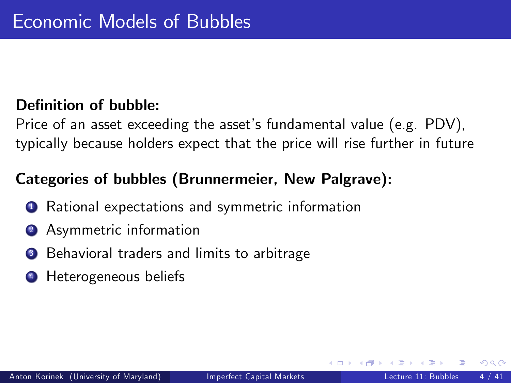### Definition of bubble:

Price of an asset exceeding the asset's fundamental value (e.g. PDV), typically because holders expect that the price will rise further in future

## Categories of bubbles (Brunnermeier, New Palgrave):

- Rational expectations and symmetric information
- **2** Asymmetric information
- <sup>3</sup> Behavioral traders and limits to arbitrage
- **4** Heterogeneous beliefs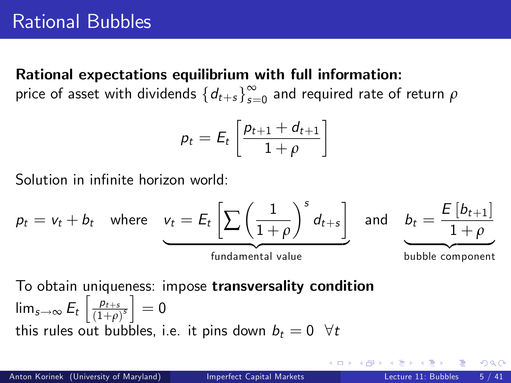#### Rational expectations equilibrium with full information:

price of asset with dividends  $\{d_{t+s}\}_{s=1}^\infty$  $\int_{s=0}^{\infty}$  and required rate of return  $\rho$ 

$$
p_t = E_t \left[ \frac{p_{t+1} + d_{t+1}}{1+\rho} \right]
$$

Solution in infinite horizon world:

$$
p_t = v_t + b_t \quad \text{where} \quad \underbrace{v_t = E_t \left[ \sum \left( \frac{1}{1+\rho} \right)^s d_{t+s} \right]}_{\text{fundamental value}} \quad \text{and} \quad \underbrace{b_t = \frac{E \left[ b_{t+1} \right]}{1+\rho}}_{\text{bubble component}}
$$

To obtain uniqueness: impose transversality condition  $\lim_{s\to\infty} E_t\left[\frac{\rho_{t+s}}{(1+\rho)}\right]$  $\frac{\rho_{t+s}}{\left(1+\rho\right)^s}$  = 0 this rules out bubbles, i.e. it pins down  $b_t = 0 \ \ \forall t$ 

つへへ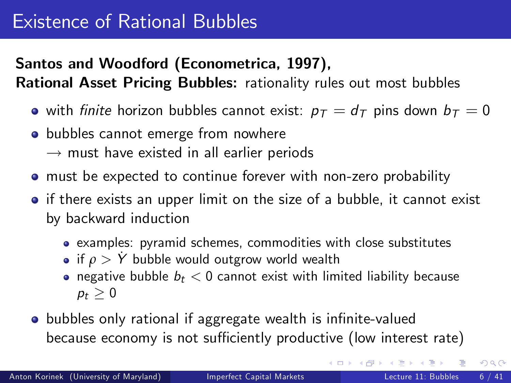# Santos and Woodford (Econometrica, 1997),

Rational Asset Pricing Bubbles: rationality rules out most bubbles

- with finite horizon bubbles cannot exist:  $p_T = d_T$  pins down  $b_T = 0$
- **•** bubbles cannot emerge from nowhere
	- $\rightarrow$  must have existed in all earlier periods
- must be expected to continue forever with non-zero probability
- if there exists an upper limit on the size of a bubble, it cannot exist by backward induction
	- examples: pyramid schemes, commodities with close substitutes
	- if  $\rho > \dot{Y}$  bubble would outgrow world wealth
	- negative bubble  $b_t < 0$  cannot exist with limited liability because  $p_t > 0$
- **•** bubbles only rational if aggregate wealth is infinite-valued because economy is not sufficiently productive (low interest rate)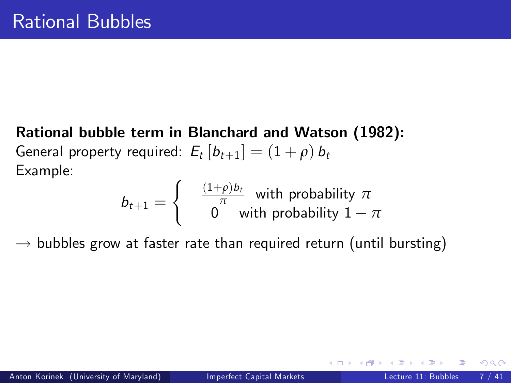Rational bubble term in Blanchard and Watson (1982): General property required:  $E_t [b_{t+1}] = (1 + \rho) b_t$ Example:

<span id="page-6-0"></span>
$$
b_{t+1} = \begin{cases} & \frac{(1+\rho)b_t}{\pi} \text{ with probability } \pi \\ & 0 \text{ with probability } 1-\pi \end{cases}
$$

 $\rightarrow$  bubbles grow at faster rate than required return (until bursting)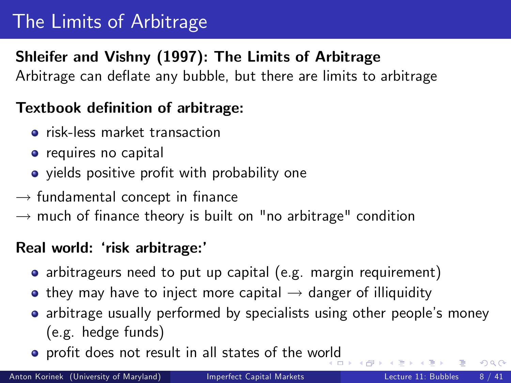# The Limits of Arbitrage

## Shleifer and Vishny (1997): The Limits of Arbitrage

Arbitrage can deflate any bubble, but there are limits to arbitrage

### Textbook definition of arbitrage:

- **•** risk-less market transaction
- **o** requires no capital
- yields positive profit with probability one
- $\rightarrow$  fundamental concept in finance
- $\rightarrow$  much of finance theory is built on "no arbitrage" condition

### Real world: 'risk arbitrage:'

- arbitrageurs need to put up capital (e.g. margin requirement)
- $\bullet$  they may have to inject more capital  $\rightarrow$  danger of illiquidity
- arbitrage usually performed by specialists using other people's money (e.g. hedge funds)
- **•** profit does not result in all states of the wo[rld](#page-6-0)

 $QQ$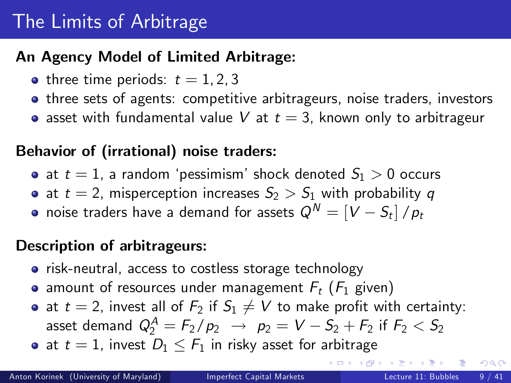# The Limits of Arbitrage

### An Agency Model of Limited Arbitrage:

- three time periods:  $t = 1, 2, 3$
- three sets of agents: competitive arbitrageurs, noise traders, investors
- asset with fundamental value V at  $t = 3$ , known only to arbitrageur

## Behavior of (irrational) noise traders:

- at  $t = 1$ , a random 'pessimism' shock denoted  $S_1 > 0$  occurs
- at  $t = 2$ , misperception increases  $S_2 > S_1$  with probability q
- $\bullet$  noise traders have a demand for assets  $Q^N = \left\lceil {V S_t} \right\rceil / p_t$

## Description of arbitrageurs:

- risk-neutral, access to costless storage technology
- amount of resources under management  $F_t$  ( $F_1$  given)
- at  $t = 2$ , invest all of  $F_2$  if  $S_1 \neq V$  to make profit with certainty: asset demand  $\displaystyle Q^A_2=F_2/\,\displaystyle p_2\,\,\rightarrow\,\,\,p_2=\,V-S_2+F_2$  if  $F_2< S_2$
- at  $t = 1$ , invest  $D_1 \le F_1$  in risky asset for arbitrage

画

 $QQ$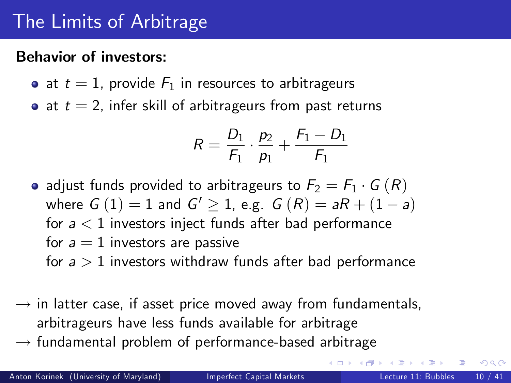# The Limits of Arbitrage

#### Behavior of investors:

- at  $t = 1$ , provide  $F_1$  in resources to arbitrageurs
- at  $t = 2$ , infer skill of arbitrageurs from past returns

$$
R = \frac{D_1}{F_1} \cdot \frac{p_2}{p_1} + \frac{F_1 - D_1}{F_1}
$$

- adjust funds provided to arbitrageurs to  $F_2 = F_1 \cdot G(R)$ where  $G(1) = 1$  and  $G' \ge 1$ , e.g.  $G(R) = aR + (1 - a)$ for  $a < 1$  investors inject funds after bad performance for  $a = 1$  investors are passive for  $a > 1$  investors withdraw funds after bad performance
- $\rightarrow$  in latter case, if asset price moved away from fundamentals, arbitrageurs have less funds available for arbitrage
- $\rightarrow$  fundamental problem of performance-based arbitrage

 $200$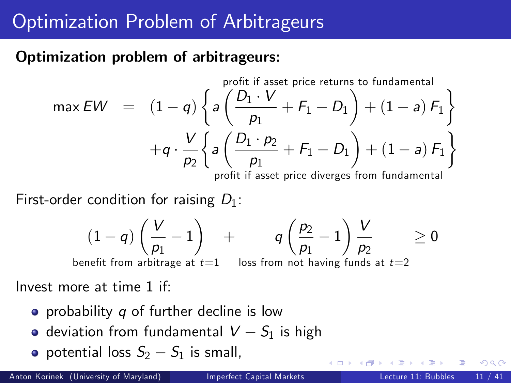# Optimization Problem of Arbitrageurs

### Optimization problem of arbitrageurs:

max 
$$
EW
$$
 =  $(1-q)\begin{Bmatrix} 1 & \frac{p}{q} & \frac{p_1 \cdot V}{p_1} & \cdots & \frac{p}{q-1} \\ 1 & -q & \frac{p}{q} & \frac{p_1 \cdot V}{p_1} & \cdots & \frac{p}{q-1} \end{Bmatrix}$   
+ $q \cdot \frac{V}{p_2} \begin{Bmatrix} a & \frac{p_1 \cdot p_2}{p_1} & \cdots & \frac{p}{q-1} & \frac{p_1 \cdot p_2}{p_1} \\ 1 & -a & \frac{p}{q-1} & \frac{p_1 \cdot p_2}{p_1 \cdot p_1} & \cdots & \frac{p}{q-1} \end{Bmatrix}$ 

First-order condition for raising  $D_1$ :

$$
(1-q)\left(\frac{V}{p_1}-1\right)_{\text{per}}
$$
 +  $q\left(\frac{p_2}{p_1}-1\right)\frac{V}{p_2}$   $\geq 0$ 

benefit from arbitrage at  $t{=}1$   $\;$  loss from not having funds at  $t{=}2$ 

Invest more at time 1 if:

- probability  $q$  of further decline is low
- deviation from fundamental  $V S_1$  is high
- potential loss  $S_2 S_1$  is small,

 $QQ$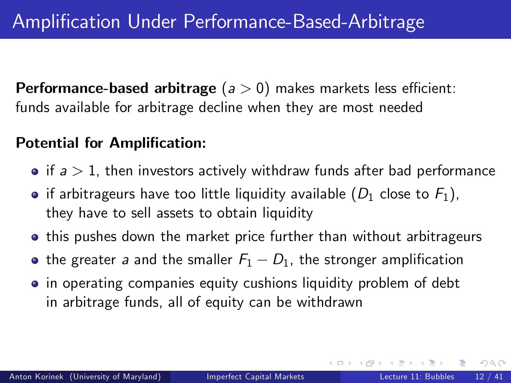**Performance-based arbitrage** ( $a > 0$ ) makes markets less efficient: funds available for arbitrage decline when they are most needed

#### Potential for Amplification:

- if  $a > 1$ , then investors actively withdraw funds after bad performance
- if arbitrageurs have too little liquidity available  $(D_1)$  close to  $F_1$ ), they have to sell assets to obtain liquidity
- **•** this pushes down the market price further than without arbitrageurs
- the greater a and the smaller  $F_1 D_1$ , the stronger amplification
- in operating companies equity cushions liquidity problem of debt in arbitrage funds, all of equity can be withdrawn

<span id="page-11-0"></span> $QQ$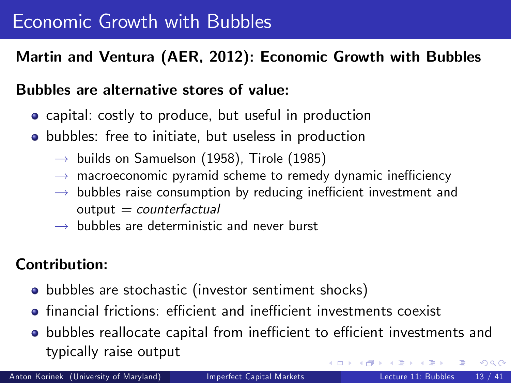## Martin and Ventura (AER, 2012): Economic Growth with Bubbles

#### Bubbles are alternative stores of value:

- **•** capital: costly to produce, but useful in production
- **•** bubbles: free to initiate, but useless in production
	- $\rightarrow$  builds on Samuelson (1958), Tirole (1985)
	- $\rightarrow$  macroeconomic pyramid scheme to remedy dynamic inefficiency
	- $\rightarrow$  bubbles raise consumption by reducing inefficient investment and  $output = counterfactual$
	- $\rightarrow$  bubbles are deterministic and never burst

## Contribution:

- bubbles are stochastic (investor sentiment shocks)
- **•** financial frictions: efficient and inefficient investments coexist
- <span id="page-12-0"></span>• bubbles reallocate capital from inefficient to efficient investments and typically raise output  $\Omega$

Anton Korinek (University of Maryland) [Imperfect Capital Markets](#page-0-0) Lecture 11: Bubbles 13 / 41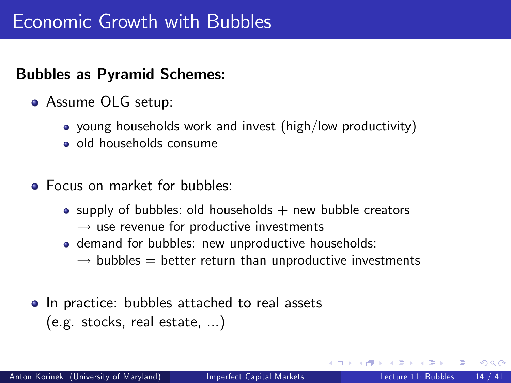### Bubbles as Pyramid Schemes:

- Assume OLG setup:
	- young households work and invest (high/low productivity)
	- o old households consume
- **Focus on market for bubbles:** 
	- supply of bubbles: old households  $+$  new bubble creators  $\rightarrow$  use revenue for productive investments
	- **o** demand for bubbles: new unproductive households:
		- $\rightarrow$  bubbles  $=$  better return than unproductive investments
- In practice: bubbles attached to real assets (e.g. stocks, real estate, ...)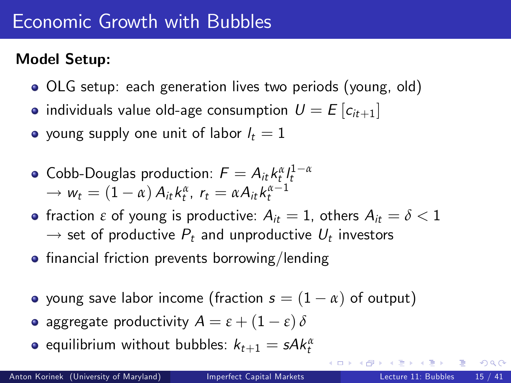# Model Setup:

- OLG setup: each generation lives two periods (young, old)
- individuals value old-age consumption  $U = E[c_{it+1}]$
- young supply one unit of labor  $l_t = 1$
- $\mathsf{Cobb\text{-}Douglas\ production: } \mathcal{F} = \mathcal{A}_{it} \, k^{\alpha}_{t} \textstyle \int_{t}^{1-\alpha}$  $\rightarrow w_t = (1 - \alpha) A_{it} k_t^{\alpha}, r_t = \alpha A_{it} k_t^{\alpha - 1}$
- **•** fraction  $\varepsilon$  of young is productive:  $A_{it} = 1$ , others  $A_{it} = \delta < 1$  $\rightarrow$  set of productive  $P_t$  and unproductive  $U_t$  investors
- $\bullet$  financial friction prevents borrowing/lending
- young save labor income (fraction  $s = (1 \alpha)$  of output)
- **a** aggregate productivity  $A = \varepsilon + (1 \varepsilon) \delta$
- equilibrium without bubbles:  $k_{t+1} = s A k_t^{\alpha}$

 $QQ$ 

イロト イ押ト イヨト イヨト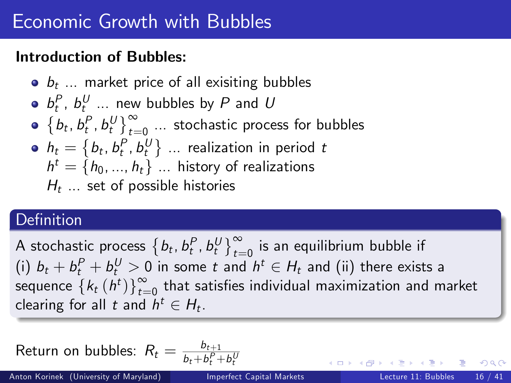### Introduction of Bubbles:

\n- • 
$$
b_t
$$
 ... market price of all existing bubbles
\n- •  $b_t^P$ ,  $b_t^U$  ... new bubbles by  $P$  and  $U$
\n- •  $\{b_t, b_t^P, b_t^U\}_{t=0}^{\infty}$  ... stochastic process for bubbles
\n- •  $h_t = \{b_t, b_t^P, b_t^U\}$  ... realization in period  $t$
\n- $h^t = \{h_0, \ldots, h_t\}$  ... history of realizations
\n- $H_t$  ... set of possible histories
\n

# Definition

A stochastic process  $\left\{b_t, b_t^P, b_t^U\right\}_{t=0}^{\infty}$  is an equilibrium bubble if (i)  $b_t + b_t^P + b_t^U > 0$  in some t and  $h^t \in H_t$  and (ii) there exists a sequence  $\left\{k_t(h^t)\right\}_{t=1}^{\infty}$  $\int_{t=0}^{\infty}$  that satisfies individual maximization and market clearing for all t and  $h^t \in H_t$ .

Return on bubbles: 
$$
R_t = \frac{b_{t+1}}{b_t + b_t^P + b_t^U}
$$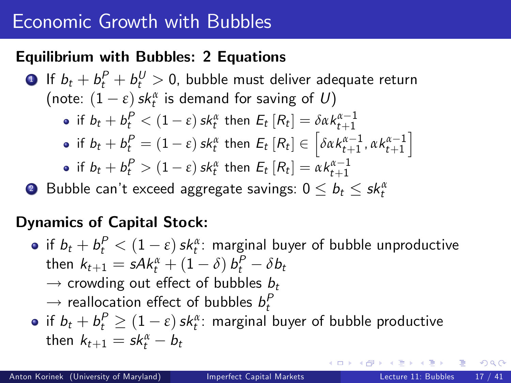### Equilibrium with Bubbles: 2 Equations

 $\textbf{1}$  If  $b_t + b_t^P + b_t^U > 0$ , bubble must deliver adequate return (note:  $(1 - \varepsilon)$  *sk*<sub>t</sub><sup>α</sup> is demand for saving of U)  $\inf\, b_t + b_t^P < (1-\varepsilon)\,$ sk $_t^\alpha$  then  $E_t\left[ R_t \right] = \delta \alpha k_{t+1}^{\alpha-1}$ if  $b_t + b_t^P = (1 - \varepsilon) s k_t^{\alpha}$  then  $E_t [R_t] \in \left[ \delta \alpha k_{t+1}^{\alpha - 1}, \alpha k_{t+1}^{\alpha - 1} \right]$ i if  $b_t + b_t^P > (1 - \varepsilon)$  sk<sub>t</sub><sup>α</sup> then  $E_t [R_t] = \alpha k_{t+1}^{\alpha - 1}$ **2** Bubble can't exceed aggregate savings:  $0 \leq b_t \leq s k_t^{\alpha}$ 

## Dynamics of Capital Stock:

if  $b_t + b_t^P < (1-\varepsilon)$  sk $\alpha_t^{\alpha}$ : marginal buyer of bubble unproductive  $t$  then  $k_{t+1} = s$ A $k_{t}^{\alpha} + (1-\delta) \, b_{t}^{P} - \delta b_{t}$  $\rightarrow$  crowding out effect of bubbles  $b_t$  $\rightarrow$  reallocation effect of bubbles  $b_t^P$ if  $b_t + b_t^P \geq (1 - \varepsilon)$  sk $_t^{\alpha}$ : marginal buyer of bubble productive then  $k_{t+1} = sk_t^{\alpha} - b_t$ 

 $\Omega$ 

スタース ミドス ミドーミ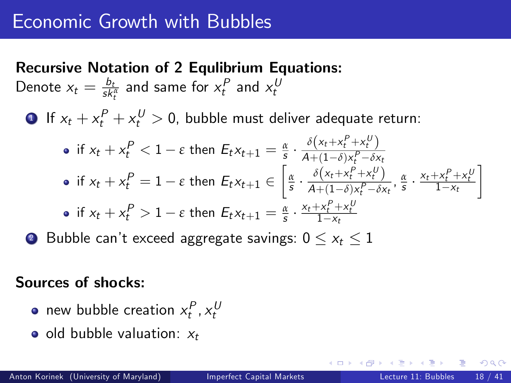Recursive Notation of 2 Equlibrium Equations: Denote  $x_t = \frac{b_t}{s k_t^{\alpha}}$  and same for  $x_t^P$  and  $x_t^U$ t **1** If  $x_t + x_t^P + x_t^U > 0$ , bubble must deliver adequate return: if  $x_t + x_t^P < 1 - \varepsilon$  then  $E_t x_{t+1} = \frac{\alpha}{s}$ .  $\delta\left(x_t + x_t^P + x_t^U\right)$  $A+(1-\delta)x_t^P-\delta x_t$ if  $x_t + x_t^P = 1 - \varepsilon$  then  $E_t x_{t+1} \in$  *α* s  $\delta\left(x_t + x_t^P + x_t^U\right)$  $\frac{\delta(x_t+x_t^{\mu}+x_t^{\nu})}{A+(1-\delta)x_t^{\mu}-\delta x_t}, \frac{\alpha}{s} \cdot \frac{x_t+x_t^{\mu}+x_t^{\mu}}{1-x_t}$ 1 if  $x_t + x_t^P > 1 - \varepsilon$  then  $E_t x_{t+1} = \frac{\alpha}{s} \cdot \frac{x_t + x_t^P + x_t^P}{1 - x_t}$ 

**2** Bubble can't exceed aggregate savings:  $0 \le x_t \le 1$ 

#### Sources of shocks:

- new bubble creation  $x_t^P$ ,  $x_t^U$
- $\bullet$  old bubble valuation:  $x_t$

つへへ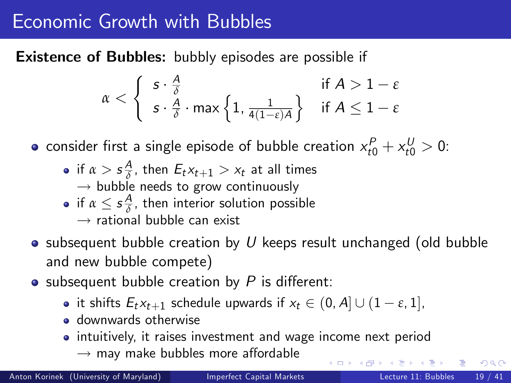Existence of Bubbles: bubbly episodes are possible if

$$
\alpha < \left\{ \begin{array}{l} s \cdot \frac{A}{\delta} & \text{if } A > 1-\epsilon \\ s \cdot \frac{A}{\delta} \cdot \max\left\{1, \frac{1}{4(1-\epsilon)A}\right\} & \text{if } A \leq 1-\epsilon \end{array} \right.
$$

consider first a single episode of bubble creation  $x^P_{t0} + x^U_{t0} > 0$ :

- if  $\alpha >$   $s\frac{A}{\delta}$ , then  $E_t x_{t+1} > x_t$  at all times  $\rightarrow$  bubble needs to grow continuously
- <span id="page-18-0"></span>if  $\alpha \leq s \frac{A}{\delta}$ , then interior solution possible
	- $\rightarrow$  rational bubble can exist
- $\bullet$  subsequent bubble creation by U keeps result unchanged (old bubble and new bubble compete)
- subsequent bubble creation by  $P$  is different:
	- it shifts  $E_t x_{t+1}$  schedule upwards if  $x_t \in (0, A] \cup (1 \varepsilon, 1]$ ,
	- **o** downwards otherwise
	- intuitively, it raises investment and wage income next period
		- $\rightarrow$  may make bubbles more affordable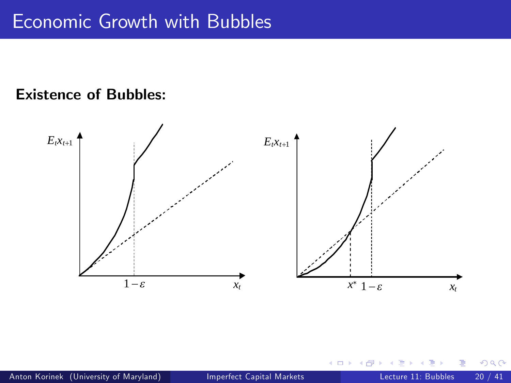<span id="page-19-0"></span>δ

## Existence of Bubbles:

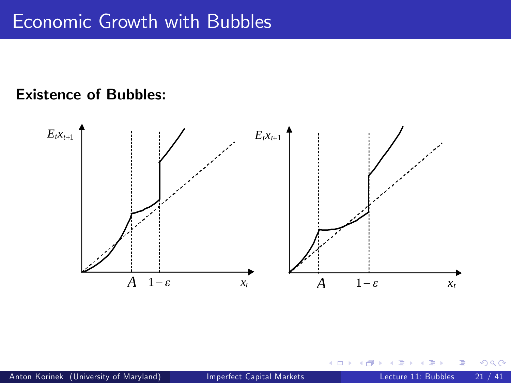## **Existence of Bubbles:** i.e. 4<sup>1</sup>

<span id="page-20-0"></span>

for all *t* > *t*0. In both panels, this bubble creation by productive investors shifts the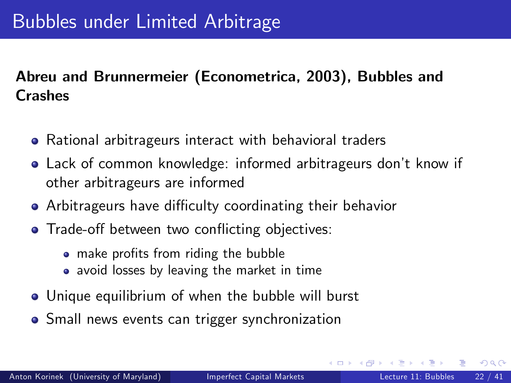# Abreu and Brunnermeier (Econometrica, 2003), Bubbles and **Crashes**

- Rational arbitrageurs interact with behavioral traders
- **Lack of common knowledge: informed arbitrageurs don't know if** other arbitrageurs are informed
- Arbitrageurs have difficulty coordinating their behavior
- Trade-off between two conflicting objectives:
	- make profits from riding the bubble
	- avoid losses by leaving the market in time
- Unique equilibrium of when the bubble will burst
- <span id="page-21-0"></span>**•** Small news events can trigger synchronization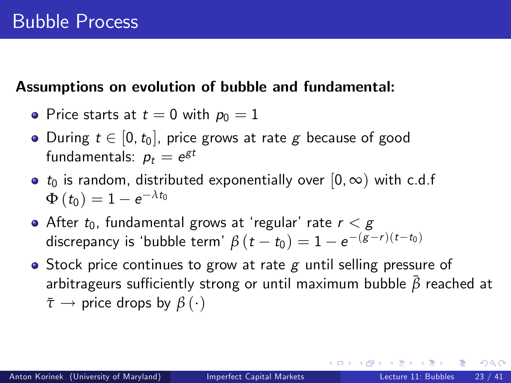#### Assumptions on evolution of bubble and fundamental:

• Price starts at 
$$
t = 0
$$
 with  $p_0 = 1$ 

- During  $t \in [0, t_0]$ , price grows at rate g because of good fundamentals:  $p_t = e^{\mathcal{g}t}$
- $t_0$  is random, distributed exponentially over  $[0, \infty)$  with c.d.f  $\Phi\left(t_0\right)=1-e^{-\lambda t_0}$
- After  $t_0$ , fundamental grows at 'regular' rate  $r < g$ discrepancy is 'bubble term'  $\beta(t-t_0) = 1 - e^{-(g-r)(t-t_0)}$
- $\bullet$  Stock price continues to grow at rate g until selling pressure of arbitrageurs sufficiently strong or until maximum bubble  $\bar{\beta}$  reached at  $\bar{\tau} \rightarrow$  price drops by  $\beta(\cdot)$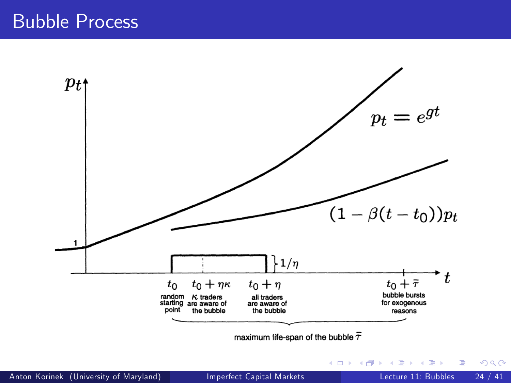

maximum life-span of the bubble  $\bar{\tau}$ 

**← ロ → → ← 何 →** 

正々 メラメ

 $\rightarrow$ 

 $299$ 

э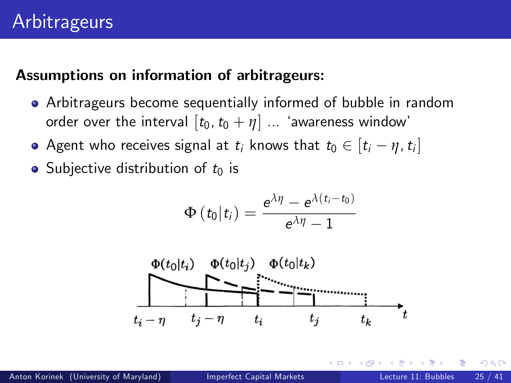#### Assumptions on information of arbitrageurs:

- Arbitrageurs become sequentially informed of bubble in random order over the interval  $[t_0, t_0 + \eta]$  ... 'awareness window'
- Agent who receives signal at  $t_i$  knows that  $t_0 \in [t_i \eta, t_i]$
- Subjective distribution of  $t_0$  is

$$
\Phi\left(t_0\big|t_i\right)=\frac{e^{\lambda\eta}-e^{\lambda\left(t_i-t_0\right)}}{e^{\lambda\eta}-1}
$$

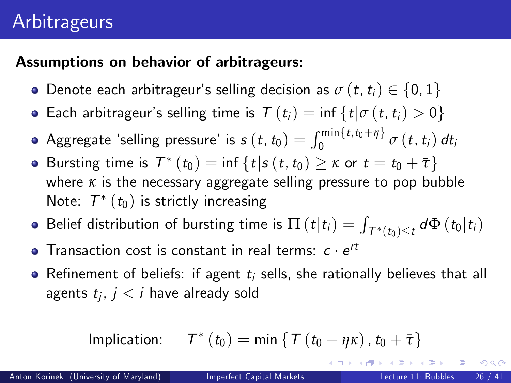# **Arbitrageurs**

## Assumptions on behavior of arbitrageurs:

- **•** Denote each arbitrageur's selling decision as  $\sigma(t, t_i) \in \{0, 1\}$
- **•** Each arbitrageur's selling time is  $T(t_i) = \inf \{ t | \sigma(t, t_i) > 0 \}$
- Aggregate 'selling pressure' is  $s\left(t,t_{0}\right)=\int_{0}^{\min\left\{t,t_{0}+\eta\right\}}\sigma\left(t,t_{i}\right)dt_{i}$
- Bursting time is  $T^*(t_0) = \inf \{ t | s(t, t_0) \geq \kappa \text{ or } t = t_0 + \overline{\tau} \}$ where *κ* is the necessary aggregate selling pressure to pop bubble Note:  $\mathcal{T}^{*}\left( t_{0}\right)$  is strictly increasing
- Belief distribution of bursting time is  $\Pi\left(t\vert t_i\right)=\int$  $T^{*}(t_{0}) \leq t d\Phi(t_{0}|t_{i})$
- Transaction cost is constant in real terms:  $c \cdot e^{rt}$
- Refinement of beliefs: if agent  $t_i$  sells, she rationally believes that all agents  $t_j,\,j< i$  have already sold

$$
\text{Implication:} \qquad T^*(t_0) = \min \left\{ T \left( t_0 + \eta \kappa \right), t_0 + \bar{\tau} \right\}
$$

 $QQ$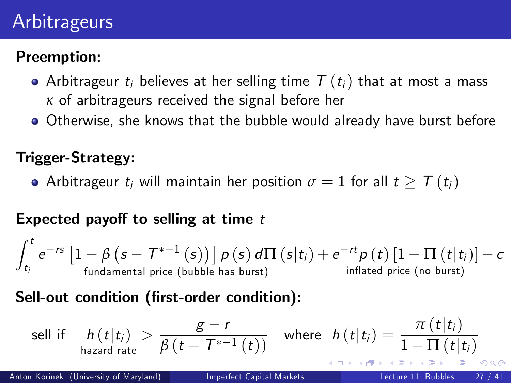# **Arbitrageurs**

## Preemption:

- Arbitrageur t<sub>i</sub> believes at her selling time  $T(t_i)$  that at most a mass *κ* of arbitrageurs received the signal before her
- Otherwise, she knows that the bubble would already have burst before

## Trigger-Strategy:

• Arbitrageur  $t_i$  will maintain her position  $\sigma = 1$  for all  $t \geq \mathcal{T}(t_i)$ 

## Expected payoff to selling at time  $t$

$$
\int_{t_i}^t e^{-rs}\left[1-\beta\left(s-T^{*-1}\left(s\right)\right)\right]\rho\left(s\right)d\Pi\left(s\middle|t_i\right)+e^{-rt}\rho\left(t\right)\left[1-\Pi\left(t\middle|t_i\right)\right]-c
$$
fundamental price (bubble has burst)   
inflated price (no burst)

### Sell-out condition (first-order condition):

$$
\text{sell if } \quad h(t|t_i) > \frac{g-r}{\beta(t-T^{*-1}(t))} \quad \text{where} \quad h(t|t_i) = \frac{\pi(t|t_i)}{1-\Pi(t|t_i)}.
$$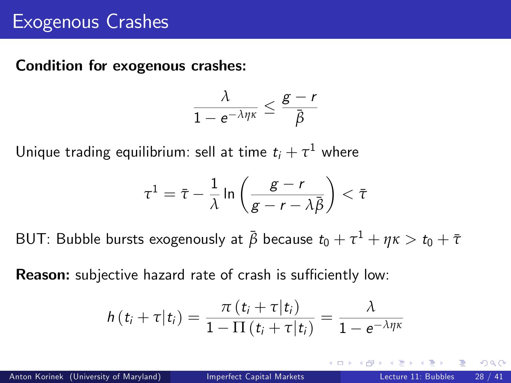#### Condition for exogenous crashes:

$$
\frac{\lambda}{1-e^{-\lambda\eta\kappa}}\leq \frac{g-r}{\bar{\beta}}
$$

Unique trading equilibrium: sell at time  $t_i + \tau^1$  where

$$
\tau^1 = \bar{\tau} - \frac{1}{\lambda} \ln \left( \frac{g - r}{g - r - \lambda \bar{\beta}} \right) < \bar{\tau}
$$

 $\mathsf{B}\mathsf{UT}\colon$  Bubble bursts exogenously at  $\bar{\beta}$  because  $t_0 + \tau^1 + \eta\kappa > t_0 + \bar{\tau}$ 

Reason: subjective hazard rate of crash is sufficiently low:

$$
h(t_i+\tau|t_i)=\frac{\pi(t_i+\tau|t_i)}{1-\Pi(t_i+\tau|t_i)}=\frac{\lambda}{1-e^{-\lambda\eta\kappa}}
$$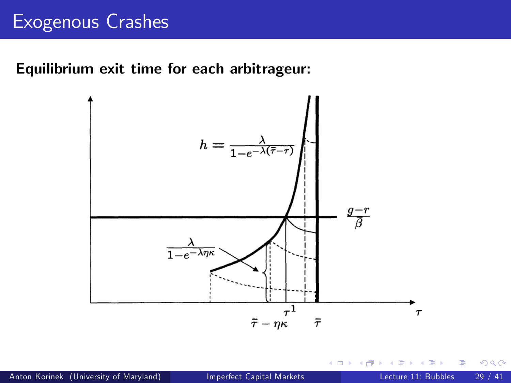#### Equilibrium exit time for each arbitrageur:



 $\Box$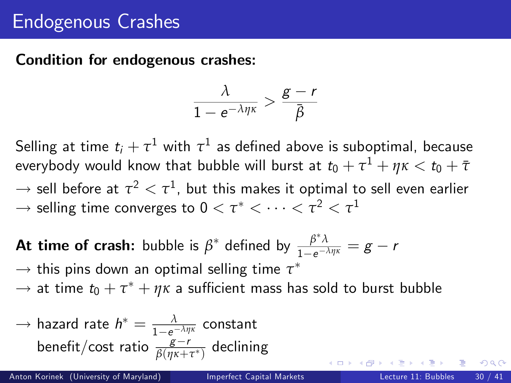# Endogenous Crashes

#### Condition for endogenous crashes:

$$
\frac{\lambda}{1-e^{-\lambda\eta\kappa}}>\frac{g-r}{\bar{\beta}}
$$

Selling at time  $t_i + \tau^1$  with  $\tau^1$  as defined above is suboptimal, because everybody would know that bubble will burst at  $t_0 + \tau^1 + \eta\kappa < t_0 + \bar\tau$  $\rightarrow$  sell before at  $\tau^2 < \tau^1$ , but this makes it optimal to sell even earlier  $\rightarrow$  selling time converges to  $0 < \tau^* < \cdots < \tau^2 < \tau^1$ 

**At time of crash:** bubble is  $\beta^*$  defined by  $\frac{\beta^*\lambda}{1-e^{-\lambda}}$  $\frac{p\lambda}{1-e^{-\lambda\eta\kappa}}=g-r$ 

 $\rightarrow$  this pins down an optimal selling time  $\tau^*$ 

 $\rightarrow$  at time  $t_0 + \tau^* + \eta \kappa$  a sufficient mass has sold to burst bubble

→ hazard rate 
$$
h^* = \frac{\lambda}{1 - e^{-\lambda \eta \kappa}}
$$
 constant  
benefit/cost ratio  $\frac{g-r}{\beta(\eta \kappa + \tau^*)}$  declining

つへへ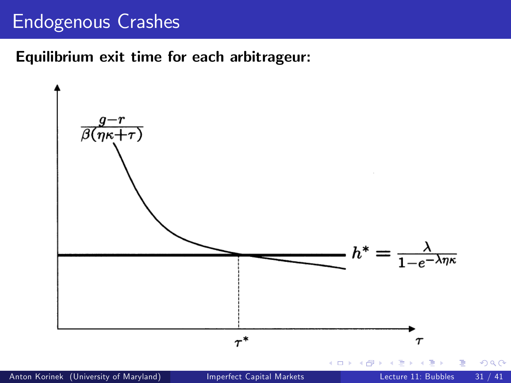# Endogenous Crashes

#### Equilibrium exit time for each arbitrageur:

<span id="page-30-0"></span>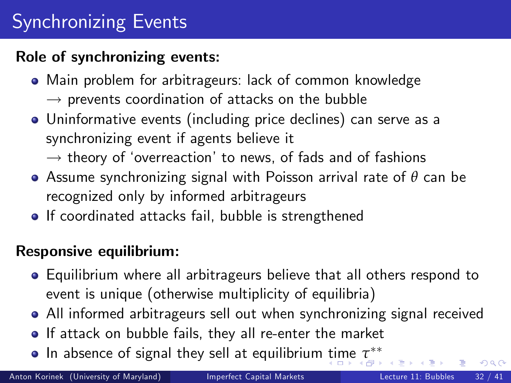# Synchronizing Events

### Role of synchronizing events:

- Main problem for arbitrageurs: lack of common knowledge
	- $\rightarrow$  prevents coordination of attacks on the bubble
- Uninformative events (including price declines) can serve as a synchronizing event if agents believe it
	- $\rightarrow$  theory of 'overreaction' to news, of fads and of fashions
- Assume synchronizing signal with Poisson arrival rate of *θ* can be recognized only by informed arbitrageurs
- If coordinated attacks fail, bubble is strengthened

## Responsive equilibrium:

- Equilibrium where all arbitrageurs believe that all others respond to event is unique (otherwise multiplicity of equilibria)
- All informed arbitrageurs sell out when synchronizing signal received
- If attack on bubble fails, they all re-enter the market
- <span id="page-31-0"></span>In absence of signal they sell at equilibrium [ti](#page-30-0)[me](#page-32-0) *[τ](#page-31-0)*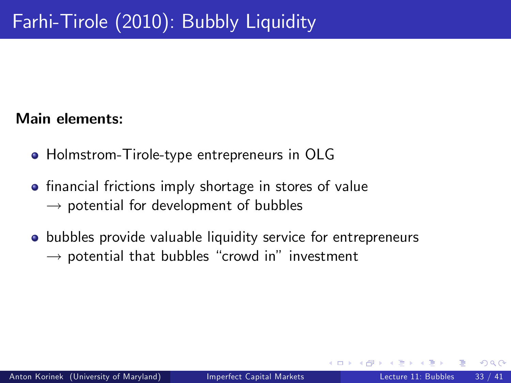#### Main elements:

- **Holmstrom-Tirole-type entrepreneurs in OLG**
- **•** financial frictions imply shortage in stores of value  $\rightarrow$  potential for development of bubbles
- <span id="page-32-0"></span>**•** bubbles provide valuable liquidity service for entrepreneurs  $\rightarrow$  potential that bubbles "crowd in" investment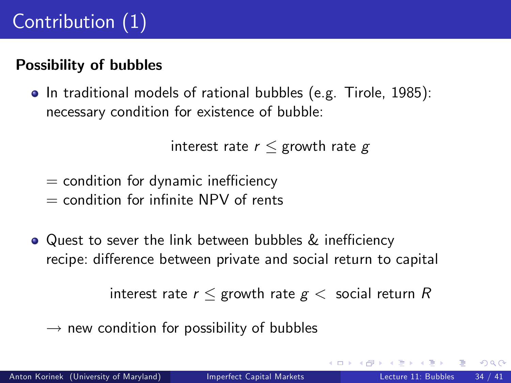# Possibility of bubbles

• In traditional models of rational bubbles (e.g. Tirole, 1985): necessary condition for existence of bubble:

```
interest rate r \leq growth rate g
```
- $=$  condition for dynamic inefficiency
- $=$  condition for infinite NPV of rents
- $\bullet$  Quest to sever the link between bubbles & inefficiency recipe: difference between private and social return to capital

interest rate  $r <$  growth rate  $g <$  social return R

 $\rightarrow$  new condition for possibility of bubbles

 $200$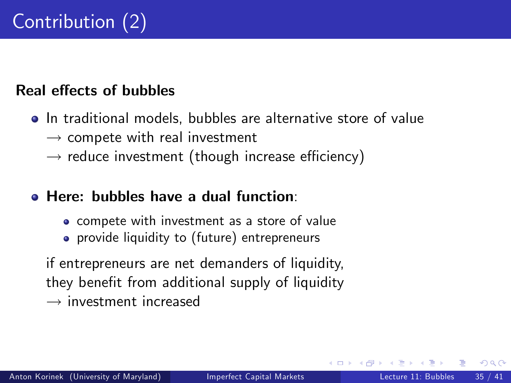### Real effects of bubbles

- **•** In traditional models, bubbles are alternative store of value  $\rightarrow$  compete with real investment
	- $\rightarrow$  reduce investment (though increase efficiency)

#### Here: bubbles have a dual function:

- compete with investment as a store of value
- **•** provide liquidity to (future) entrepreneurs

if entrepreneurs are net demanders of liquidity, they benefit from additional supply of liquidity  $\rightarrow$  investment increased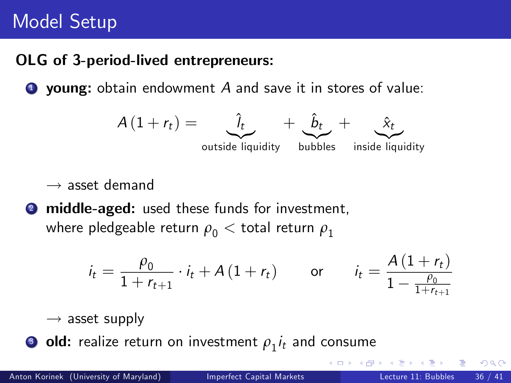# Model Setup

### OLG of 3-period-lived entrepreneurs:

 $\bullet$  young: obtain endowment A and save it in stores of value:



 $\rightarrow$  asset demand

**2** middle-aged: used these funds for investment, where pledgeable return  $\rho_0 <$  total return  $\rho_1$ 

$$
i_{t} = \frac{\rho_{0}}{1 + r_{t+1}} \cdot i_{t} + A(1 + r_{t}) \qquad \text{or} \qquad i_{t} = \frac{A(1 + r_{t})}{1 - \frac{\rho_{0}}{1 + r_{t+1}}}
$$

 $\rightarrow$  asset supply

 $\bullet$  old: realize return on investment  $\rho_1 i_t$  and consume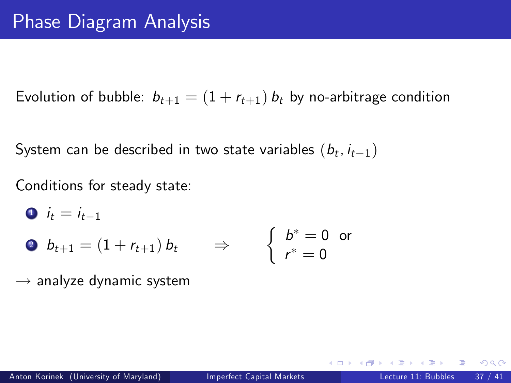Evolution of bubble:  $b_{t+1} = (1 + r_{t+1}) b_t$  by no-arbitrage condition

System can be described in two state variables  $(b_t, i_{t-1})$ 

Conditions for steady state:

\n- $$
i_t = i_{t-1}
$$
\n- $b_{t+1} = (1 + r_{t+1}) b_t$
\n- $j_t = 0$  or
\n- $r^* = 0$
\n

 $\rightarrow$  analyze dynamic system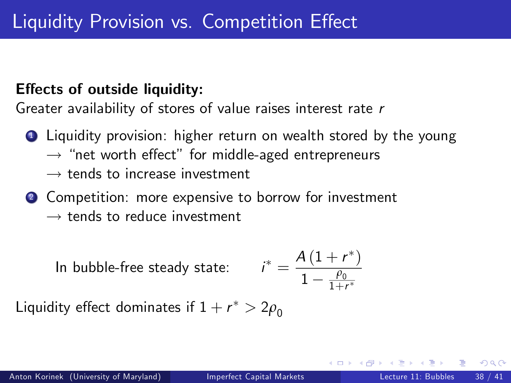### Effects of outside liquidity:

Greater availability of stores of value raises interest rate r

- **1** Liquidity provision: higher return on wealth stored by the young
	- $\rightarrow$  "net worth effect" for middle-aged entrepreneurs
	- $\rightarrow$  tends to increase investment
- 2 Competition: more expensive to borrow for investment
	- $\rightarrow$  tends to reduce investment

In bubble-free steady state:  $^* = \frac{A(1+r^*)}{1-\theta_0}$  $1 - \frac{\rho_0}{1+r^*}$ 

Liquidity effect dominates if  $1+r^*>2\rho_0$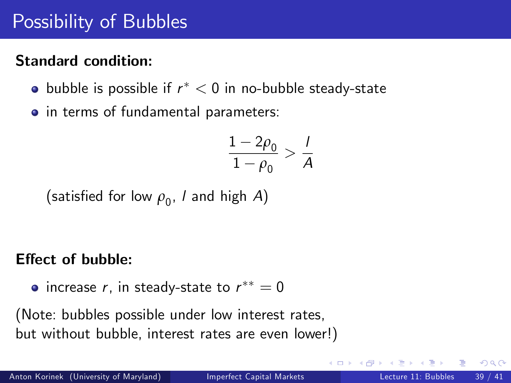# Possibility of Bubbles

## Standard condition:

- bubble is possible if  $r^* < 0$  in no-bubble steady-state
- in terms of fundamental parameters:

$$
\frac{1-2\rho_0}{1-\rho_0} > \frac{1}{A}
$$

(satisfied for low  $\rho_{0}^{}$ , *l* and high  $A)$ 

### Effect of bubble:

increase  $r$ , in steady-state to  $r^{\ast\ast}=0$ 

(Note: bubbles possible under low interest rates, but without bubble, interest rates are even lower!)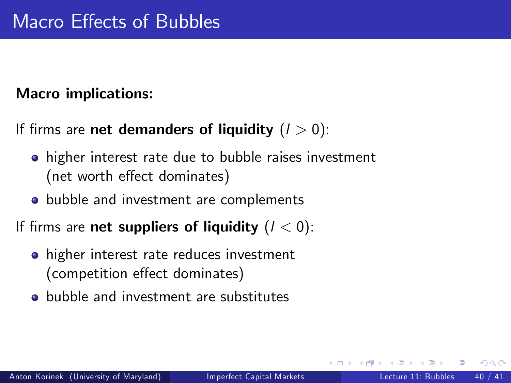## Macro implications:

```
If firms are net demanders of liquidity (l > 0):
```
- **•** higher interest rate due to bubble raises investment (net worth effect dominates)
- **•** bubble and investment are complements

If firms are net suppliers of liquidity  $(l < 0)$ :

- higher interest rate reduces investment (competition effect dominates)
- **•** bubble and investment are substitutes

つへへ